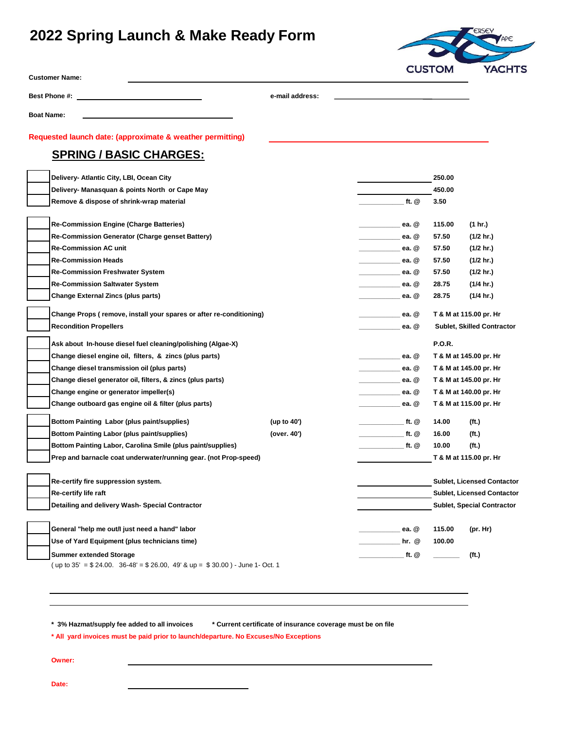# **2022 Spring Launch & Make Ready Form**



| <b>Customer Name:</b> |  |
|-----------------------|--|
|-----------------------|--|

Best Phone #: **e-mail address:** 

**Boat Name:**

#### **Requested launch date: (approximate & weather permitting)**

### **SPRING / BASIC CHARGES:**

|  | Delivery- Atlantic City, LBI, Ocean City                                                             |             |                                 | 250.00                                           |                                   |  |
|--|------------------------------------------------------------------------------------------------------|-------------|---------------------------------|--------------------------------------------------|-----------------------------------|--|
|  | Delivery- Manasquan & points North or Cape May                                                       |             |                                 | 450.00                                           |                                   |  |
|  | Remove & dispose of shrink-wrap material                                                             |             | ft. @                           | 3.50                                             |                                   |  |
|  |                                                                                                      |             |                                 |                                                  |                                   |  |
|  | <b>Re-Commission Engine (Charge Batteries)</b>                                                       |             | ea. @                           | 115.00                                           | (1 hr.)                           |  |
|  | Re-Commission Generator (Charge genset Battery)                                                      |             | ea. $@$                         | 57.50                                            | (1/2 hr.)                         |  |
|  | <b>Re-Commission AC unit</b>                                                                         |             | ea. $@$                         | 57.50                                            | (1/2 hr.)                         |  |
|  | <b>Re-Commission Heads</b>                                                                           |             | ea. @                           | 57.50                                            | (1/2 hr.)                         |  |
|  | <b>Re-Commission Freshwater System</b>                                                               |             | ea. @<br>_______                | 57.50                                            | (1/2 hr.)                         |  |
|  | <b>Re-Commission Saltwater System</b><br>ea. @<br><u> Liberal College (College)</u>                  |             |                                 | 28.75                                            | (1/4 hr.)                         |  |
|  | <b>Change External Zincs (plus parts)</b><br>ea. @                                                   |             |                                 |                                                  | (1/4 hr.)                         |  |
|  | Change Props (remove, install your spares or after re-conditioning)                                  |             | ea. $@$                         |                                                  | T & M at 115.00 pr. Hr            |  |
|  | <b>Recondition Propellers</b>                                                                        |             | ea. @                           | Sublet, Skilled Contractor                       |                                   |  |
|  | Ask about In-house diesel fuel cleaning/polishing (Algae-X)                                          |             |                                 | <b>P.O.R.</b>                                    |                                   |  |
|  | Change diesel engine oil, filters, & zincs (plus parts)                                              |             | ea. @                           |                                                  | T & M at 145.00 pr. Hr            |  |
|  | Change diesel transmission oil (plus parts)                                                          |             | ea. @                           | T & M at 145.00 pr. Hr                           |                                   |  |
|  | Change diesel generator oil, filters, & zincs (plus parts)<br>Change engine or generator impeller(s) |             | ea. @                           | T & M at 145.00 pr. Hr<br>T & M at 140.00 pr. Hr |                                   |  |
|  |                                                                                                      |             | ea. @                           |                                                  |                                   |  |
|  | Change outboard gas engine oil & filter (plus parts)                                                 |             | ea. @                           | T & M at 115.00 pr. Hr                           |                                   |  |
|  | Bottom Painting Labor (plus paint/supplies)                                                          | (up to 40') | ft. @                           | 14.00                                            | (ft.)                             |  |
|  | <b>Bottom Painting Labor (plus paint/supplies)</b>                                                   | (over. 40') | ft. @                           | 16.00                                            | (ft.)                             |  |
|  | Bottom Painting Labor, Carolina Smile (plus paint/supplies)                                          |             | $f_{\text{t}}$ . $\circledcirc$ | 10.00                                            | (ft.)                             |  |
|  | Prep and barnacle coat underwater/running gear. (not Prop-speed)                                     |             |                                 | T & M at 115.00 pr. Hr                           |                                   |  |
|  | Re-certify fire suppression system.                                                                  |             |                                 |                                                  | <b>Sublet, Licensed Contactor</b> |  |
|  | Re-certify life raft                                                                                 |             |                                 | <b>Sublet, Licensed Contactor</b>                |                                   |  |
|  | Detailing and delivery Wash- Special Contractor                                                      |             |                                 | <b>Sublet, Special Contractor</b>                |                                   |  |
|  |                                                                                                      |             |                                 |                                                  |                                   |  |
|  | General "help me out/l just need a hand" labor                                                       |             | ea. @                           | 115.00                                           | (pr. Hr)                          |  |
|  | Use of Yard Equipment (plus technicians time)                                                        |             | hr. $@$                         | 100.00                                           |                                   |  |
|  | <b>Summer extended Storage</b>                                                                       |             | ft. @                           |                                                  | (ft.)                             |  |
|  | (up to 35' = \$ 24.00. 36-48' = \$ 26.00, 49' & up = \$ 30.00) - June 1- Oct. 1                      |             |                                 |                                                  |                                   |  |

**\* 3% Hazmat/supply fee added to all invoices \* Current certificate of insurance coverage must be on file**

**\* All yard invoices must be paid prior to launch/departure. No Excuses/No Exceptions**

**Owner:**